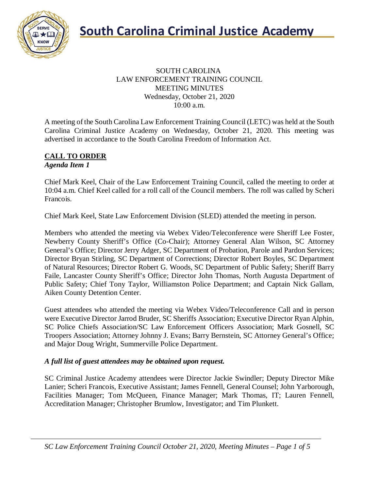

### SOUTH CAROLINA LAW ENFORCEMENT TRAINING COUNCIL MEETING MINUTES Wednesday, October 21, 2020 10:00 a.m.

A meeting of the South Carolina Law Enforcement Training Council (LETC) was held at the South Carolina Criminal Justice Academy on Wednesday, October 21, 2020. This meeting was advertised in accordance to the South Carolina Freedom of Information Act.

#### **CALL TO ORDER** *Agenda Item 1*

Chief Mark Keel, Chair of the Law Enforcement Training Council, called the meeting to order at 10:04 a.m. Chief Keel called for a roll call of the Council members. The roll was called by Scheri Francois.

Chief Mark Keel, State Law Enforcement Division (SLED) attended the meeting in person.

Members who attended the meeting via Webex Video/Teleconference were Sheriff Lee Foster, Newberry County Sheriff's Office (Co-Chair); Attorney General Alan Wilson, SC Attorney General's Office; Director Jerry Adger, SC Department of Probation, Parole and Pardon Services; Director Bryan Stirling, SC Department of Corrections; Director Robert Boyles, SC Department of Natural Resources; Director Robert G. Woods, SC Department of Public Safety; Sheriff Barry Faile, Lancaster County Sheriff's Office; Director John Thomas, North Augusta Department of Public Safety; Chief Tony Taylor, Williamston Police Department; and Captain Nick Gallam, Aiken County Detention Center.

Guest attendees who attended the meeting via Webex Video/Teleconference Call and in person were Executive Director Jarrod Bruder, SC Sheriffs Association; Executive Director Ryan Alphin, SC Police Chiefs Association/SC Law Enforcement Officers Association; Mark Gosnell, SC Troopers Association; Attorney Johnny J. Evans; Barry Bernstein, SC Attorney General's Office; and Major Doug Wright, Summerville Police Department.

## *A full list of guest attendees may be obtained upon request.*

SC Criminal Justice Academy attendees were Director Jackie Swindler; Deputy Director Mike Lanier; Scheri Francois, Executive Assistant; James Fennell, General Counsel; John Yarborough, Facilities Manager; Tom McQueen, Finance Manager; Mark Thomas, IT; Lauren Fennell, Accreditation Manager; Christopher Brumlow, Investigator; and Tim Plunkett.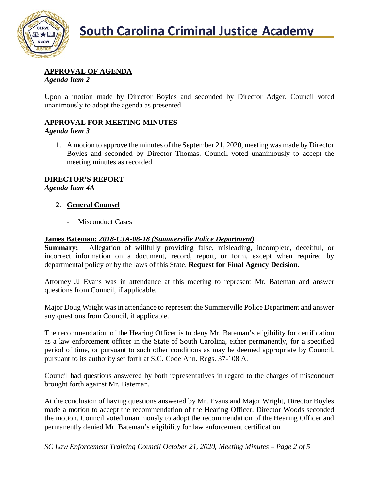

## **APPROVAL OF AGENDA**

*Agenda Item 2*

Upon a motion made by Director Boyles and seconded by Director Adger, Council voted unanimously to adopt the agenda as presented.

# **APPROVAL FOR MEETING MINUTES**

*Agenda Item 3*

1. A motion to approve the minutes of the September 21, 2020, meeting was made by Director Boyles and seconded by Director Thomas. Council voted unanimously to accept the meeting minutes as recorded.

## **DIRECTOR'S REPORT**

*Agenda Item 4A*

### 2. **General Counsel**

- Misconduct Cases

### **James Bateman:** *2018-CJA-08-18 (Summerville Police Department)*

**Summary:** Allegation of willfully providing false, misleading, incomplete, deceitful, or incorrect information on a document, record, report, or form, except when required by departmental policy or by the laws of this State. **Request for Final Agency Decision.**

Attorney JJ Evans was in attendance at this meeting to represent Mr. Bateman and answer questions from Council, if applicable.

Major Doug Wright was in attendance to represent the Summerville Police Department and answer any questions from Council, if applicable.

The recommendation of the Hearing Officer is to deny Mr. Bateman's eligibility for certification as a law enforcement officer in the State of South Carolina, either permanently, for a specified period of time, or pursuant to such other conditions as may be deemed appropriate by Council, pursuant to its authority set forth at S.C. Code Ann. Regs. 37-108 A.

Council had questions answered by both representatives in regard to the charges of misconduct brought forth against Mr. Bateman.

At the conclusion of having questions answered by Mr. Evans and Major Wright, Director Boyles made a motion to accept the recommendation of the Hearing Officer. Director Woods seconded the motion. Council voted unanimously to adopt the recommendation of the Hearing Officer and permanently denied Mr. Bateman's eligibility for law enforcement certification.

*SC Law Enforcement Training Council October 21, 2020, Meeting Minutes – Page 2 of 5*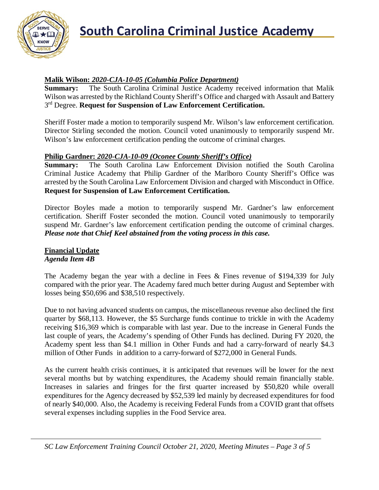

## **Malik Wilson:** *2020-CJA-10-05 (Columbia Police Department)*

**Summary:** The South Carolina Criminal Justice Academy received information that Malik Wilson was arrested by the Richland County Sheriff's Office and charged with Assault and Battery 3rd Degree. **Request for Suspension of Law Enforcement Certification.**

Sheriff Foster made a motion to temporarily suspend Mr. Wilson's law enforcement certification. Director Stirling seconded the motion. Council voted unanimously to temporarily suspend Mr. Wilson's law enforcement certification pending the outcome of criminal charges.

## **Philip Gardner:** *2020-CJA-10-09 (Oconee County Sheriff's Office)*

**Summary:** The South Carolina Law Enforcement Division notified the South Carolina Criminal Justice Academy that Philip Gardner of the Marlboro County Sheriff's Office was arrested by the South Carolina Law Enforcement Division and charged with Misconduct in Office. **Request for Suspension of Law Enforcement Certification.**

Director Boyles made a motion to temporarily suspend Mr. Gardner's law enforcement certification. Sheriff Foster seconded the motion. Council voted unanimously to temporarily suspend Mr. Gardner's law enforcement certification pending the outcome of criminal charges. *Please note that Chief Keel abstained from the voting process in this case.*

#### **Financial Update** *Agenda Item 4B*

The Academy began the year with a decline in Fees & Fines revenue of \$194,339 for July compared with the prior year. The Academy fared much better during August and September with losses being \$50,696 and \$38,510 respectively.

Due to not having advanced students on campus, the miscellaneous revenue also declined the first quarter by \$68,113. However, the \$5 Surcharge funds continue to trickle in with the Academy receiving \$16,369 which is comparable with last year. Due to the increase in General Funds the last couple of years, the Academy's spending of Other Funds has declined. During FY 2020, the Academy spent less than \$4.1 million in Other Funds and had a carry-forward of nearly \$4.3 million of Other Funds in addition to a carry-forward of \$272,000 in General Funds.

As the current health crisis continues, it is anticipated that revenues will be lower for the next several months but by watching expenditures, the Academy should remain financially stable. Increases in salaries and fringes for the first quarter increased by \$50,820 while overall expenditures for the Agency decreased by \$52,539 led mainly by decreased expenditures for food of nearly \$40,000. Also, the Academy is receiving Federal Funds from a COVID grant that offsets several expenses including supplies in the Food Service area.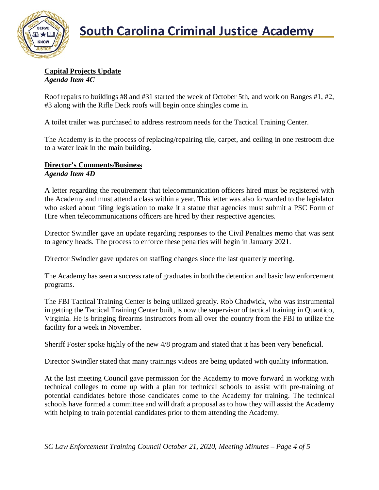

#### **Capital Projects Update** *Agenda Item 4C*

Roof repairs to buildings #8 and #31 started the week of October 5th, and work on Ranges #1, #2, #3 along with the Rifle Deck roofs will begin once shingles come in.

A toilet trailer was purchased to address restroom needs for the Tactical Training Center.

The Academy is in the process of replacing/repairing tile, carpet, and ceiling in one restroom due to a water leak in the main building.

#### **Director's Comments/Business** *Agenda Item 4D*

A letter regarding the requirement that telecommunication officers hired must be registered with the Academy and must attend a class within a year. This letter was also forwarded to the legislator who asked about filing legislation to make it a statue that agencies must submit a PSC Form of Hire when telecommunications officers are hired by their respective agencies.

Director Swindler gave an update regarding responses to the Civil Penalties memo that was sent to agency heads. The process to enforce these penalties will begin in January 2021.

Director Swindler gave updates on staffing changes since the last quarterly meeting.

The Academy has seen a success rate of graduates in both the detention and basic law enforcement programs.

The FBI Tactical Training Center is being utilized greatly. Rob Chadwick, who was instrumental in getting the Tactical Training Center built, is now the supervisor of tactical training in Quantico, Virginia. He is bringing firearms instructors from all over the country from the FBI to utilize the facility for a week in November.

Sheriff Foster spoke highly of the new 4/8 program and stated that it has been very beneficial.

Director Swindler stated that many trainings videos are being updated with quality information.

At the last meeting Council gave permission for the Academy to move forward in working with technical colleges to come up with a plan for technical schools to assist with pre-training of potential candidates before those candidates come to the Academy for training. The technical schools have formed a committee and will draft a proposal as to how they will assist the Academy with helping to train potential candidates prior to them attending the Academy.